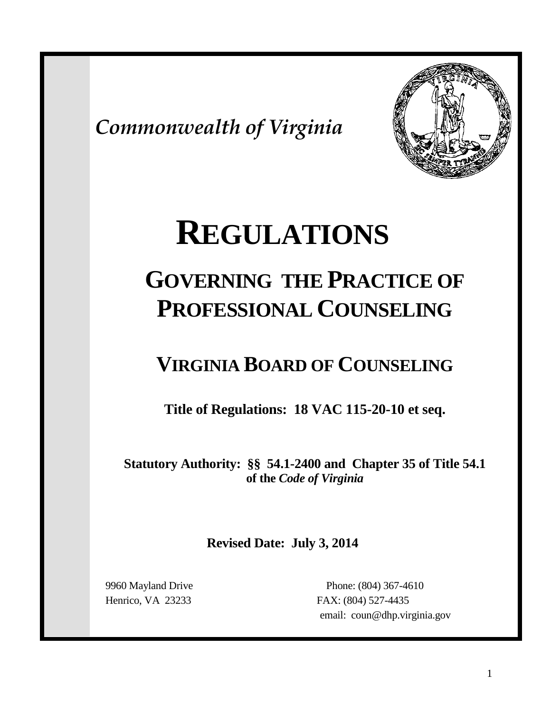*Commonwealth of Virginia*



# **REGULATIONS**

## **GOVERNING THE PRACTICE OF PROFESSIONAL COUNSELING**

### **VIRGINIA BOARD OF COUNSELING**

**Title of Regulations: 18 VAC 115-20-10 et seq.**

**Statutory Authority: §§ 54.1-2400 and Chapter 35 of Title 54.1 of the** *Code of Virginia*

**Revised Date: July 3, 2014**

 9960 Mayland Drive Phone: (804) 367-4610 Henrico, VA 23233 FAX: (804) 527-4435 email: coun@dhp.virginia.gov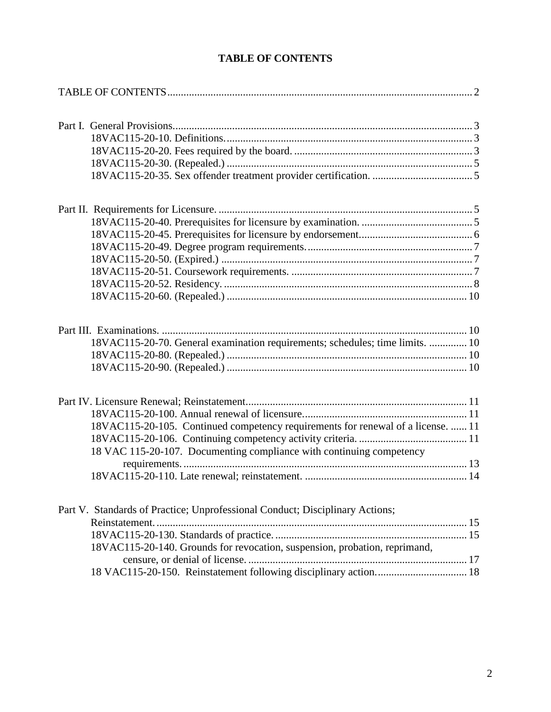<span id="page-1-0"></span>

| 18VAC115-20-70. General examination requirements; schedules; time limits.  10    |  |
|----------------------------------------------------------------------------------|--|
|                                                                                  |  |
|                                                                                  |  |
|                                                                                  |  |
|                                                                                  |  |
| 18VAC115-20-105. Continued competency requirements for renewal of a license.  11 |  |
|                                                                                  |  |
| 18 VAC 115-20-107. Documenting compliance with continuing competency             |  |
|                                                                                  |  |
|                                                                                  |  |
| Part V. Standards of Practice; Unprofessional Conduct; Disciplinary Actions;     |  |
|                                                                                  |  |
|                                                                                  |  |
| 18VAC115-20-140. Grounds for revocation, suspension, probation, reprimand,       |  |
|                                                                                  |  |
|                                                                                  |  |

#### **TABLE OF CONTENTS**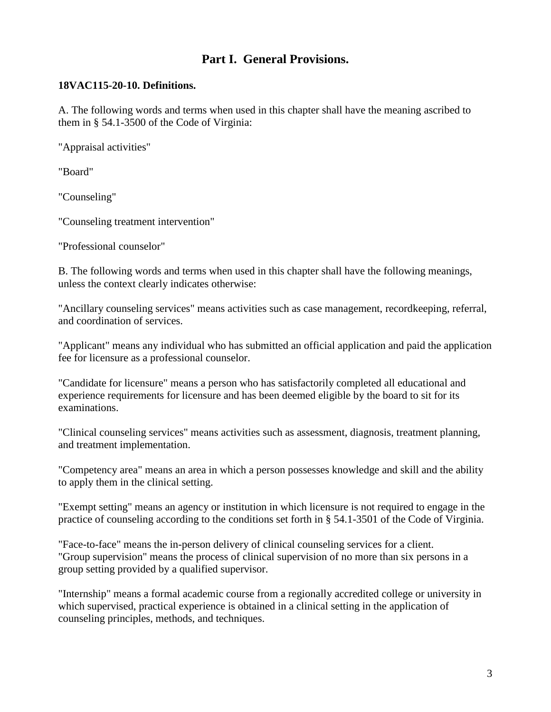#### **Part I. General Provisions.**

#### <span id="page-2-1"></span><span id="page-2-0"></span>**18VAC115-20-10. Definitions.**

<span id="page-2-2"></span>A. The following words and terms when used in this chapter shall have the meaning ascribed to them in § 54.1-3500 of the Code of Virginia:

"Appraisal activities"

"Board"

"Counseling"

"Counseling treatment intervention"

"Professional counselor"

B. The following words and terms when used in this chapter shall have the following meanings, unless the context clearly indicates otherwise:

"Ancillary counseling services" means activities such as case management, recordkeeping, referral, and coordination of services.

"Applicant" means any individual who has submitted an official application and paid the application fee for licensure as a professional counselor.

"Candidate for licensure" means a person who has satisfactorily completed all educational and experience requirements for licensure and has been deemed eligible by the board to sit for its examinations.

"Clinical counseling services" means activities such as assessment, diagnosis, treatment planning, and treatment implementation.

"Competency area" means an area in which a person possesses knowledge and skill and the ability to apply them in the clinical setting.

"Exempt setting" means an agency or institution in which licensure is not required to engage in the practice of counseling according to the conditions set forth in § 54.1-3501 of the Code of Virginia.

"Face-to-face" means the in-person delivery of clinical counseling services for a client. "Group supervision" means the process of clinical supervision of no more than six persons in a group setting provided by a qualified supervisor.

"Internship" means a formal academic course from a regionally accredited college or university in which supervised, practical experience is obtained in a clinical setting in the application of counseling principles, methods, and techniques.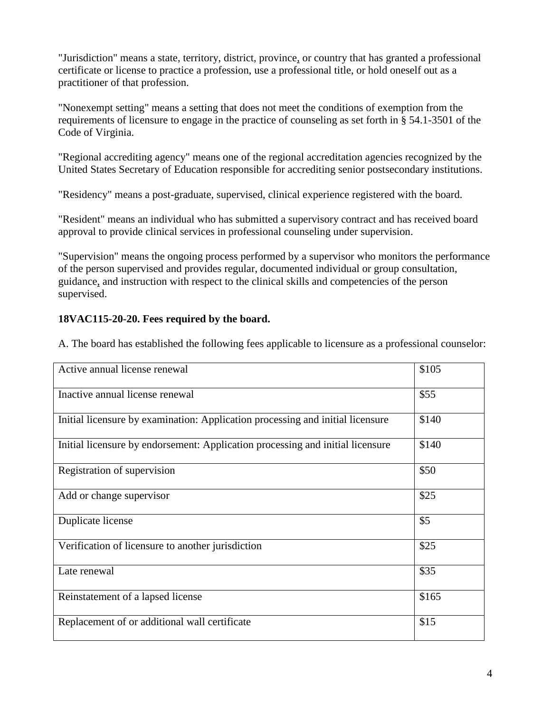"Jurisdiction" means a state, territory, district, province, or country that has granted a professional certificate or license to practice a profession, use a professional title, or hold oneself out as a practitioner of that profession.

"Nonexempt setting" means a setting that does not meet the conditions of exemption from the requirements of licensure to engage in the practice of counseling as set forth in § 54.1-3501 of the Code of Virginia.

"Regional accrediting agency" means one of the regional accreditation agencies recognized by the United States Secretary of Education responsible for accrediting senior postsecondary institutions.

"Residency" means a post-graduate, supervised, clinical experience registered with the board.

"Resident" means an individual who has submitted a supervisory contract and has received board approval to provide clinical services in professional counseling under supervision.

"Supervision" means the ongoing process performed by a supervisor who monitors the performance of the person supervised and provides regular, documented individual or group consultation, guidance, and instruction with respect to the clinical skills and competencies of the person supervised.

#### **18VAC115-20-20. Fees required by the board.**

A. The board has established the following fees applicable to licensure as a professional counselor:

| Active annual license renewal                                                  | \$105 |
|--------------------------------------------------------------------------------|-------|
| Inactive annual license renewal                                                | \$55  |
| Initial licensure by examination: Application processing and initial licensure | \$140 |
| Initial licensure by endorsement: Application processing and initial licensure | \$140 |
| Registration of supervision                                                    | \$50  |
| Add or change supervisor                                                       | \$25  |
| Duplicate license                                                              | \$5   |
| Verification of licensure to another jurisdiction                              | \$25  |
| Late renewal                                                                   | \$35  |
| Reinstatement of a lapsed license                                              | \$165 |
| Replacement of or additional wall certificate                                  | \$15  |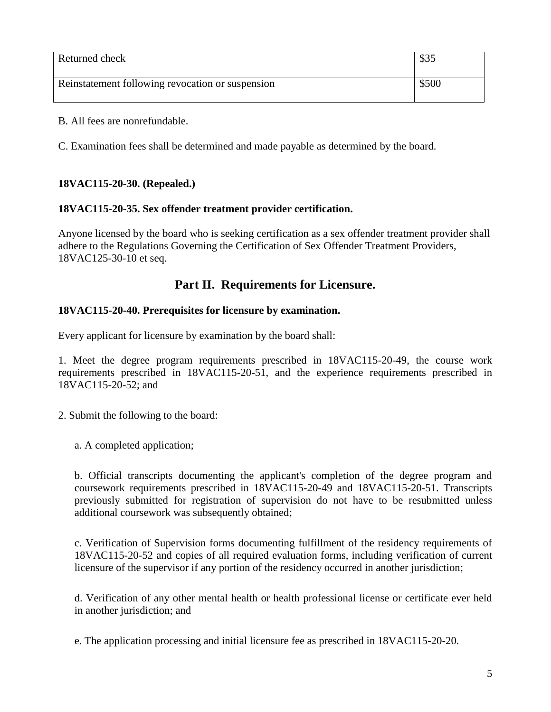| Returned check                                   | \$35  |
|--------------------------------------------------|-------|
| Reinstatement following revocation or suspension | \$500 |

B. All fees are nonrefundable.

C. Examination fees shall be determined and made payable as determined by the board.

#### <span id="page-4-0"></span>**18VAC115-20-30. (Repealed.)**

#### <span id="page-4-1"></span>**18VAC115-20-35. Sex offender treatment provider certification.**

Anyone licensed by the board who is seeking certification as a sex offender treatment provider shall adhere to the Regulations Governing the Certification of Sex Offender Treatment Providers, 18VAC125-30-10 et seq.

#### **Part II. Requirements for Licensure.**

#### <span id="page-4-3"></span><span id="page-4-2"></span>**18VAC115-20-40. Prerequisites for licensure by examination.**

Every applicant for licensure by examination by the board shall:

1. Meet the degree program requirements prescribed in 18VAC115-20-49, the course work requirements prescribed in 18VAC115-20-51, and the experience requirements prescribed in 18VAC115-20-52; and

2. Submit the following to the board:

a. A completed application;

b. Official transcripts documenting the applicant's completion of the degree program and coursework requirements prescribed in 18VAC115-20-49 and 18VAC115-20-51. Transcripts previously submitted for registration of supervision do not have to be resubmitted unless additional coursework was subsequently obtained;

c. Verification of Supervision forms documenting fulfillment of the residency requirements of 18VAC115-20-52 and copies of all required evaluation forms, including verification of current licensure of the supervisor if any portion of the residency occurred in another jurisdiction;

d. Verification of any other mental health or health professional license or certificate ever held in another jurisdiction; and

e. The application processing and initial licensure fee as prescribed in 18VAC115-20-20.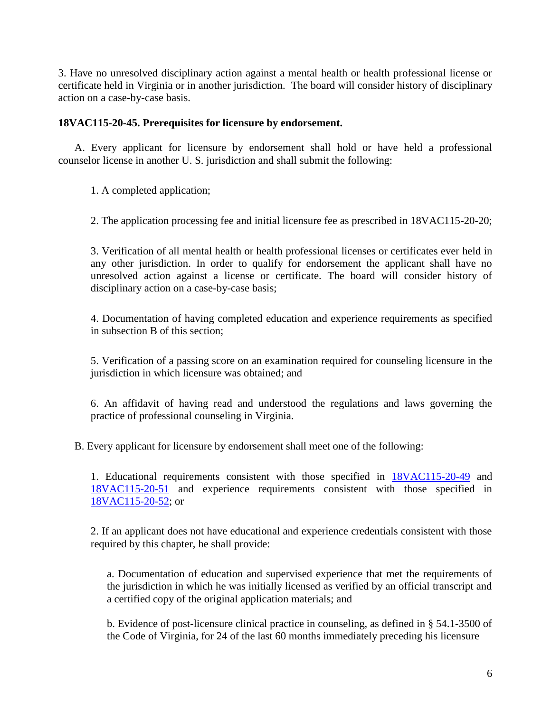3. Have no unresolved disciplinary action against a mental health or health professional license or certificate held in Virginia or in another jurisdiction. The board will consider history of disciplinary action on a case-by-case basis.

#### <span id="page-5-0"></span>**18VAC115-20-45. Prerequisites for licensure by endorsement.**

A. Every applicant for licensure by endorsement shall hold or have held a professional counselor license in another U. S. jurisdiction and shall submit the following:

1. A completed application;

2. The application processing fee and initial licensure fee as prescribed in 18VAC115-20-20;

3. Verification of all mental health or health professional licenses or certificates ever held in any other jurisdiction. In order to qualify for endorsement the applicant shall have no unresolved action against a license or certificate. The board will consider history of disciplinary action on a case-by-case basis;

4. Documentation of having completed education and experience requirements as specified in subsection B of this section;

5. Verification of a passing score on an examination required for counseling licensure in the jurisdiction in which licensure was obtained; and

6. An affidavit of having read and understood the regulations and laws governing the practice of professional counseling in Virginia.

B. Every applicant for licensure by endorsement shall meet one of the following:

1. Educational requirements consistent with those specified in [18VAC115-20-49](http://leg1.state.va.us/cgi-bin/legp504.exe?000+reg+18VAC115-20-49) and [18VAC115-20-51](http://leg1.state.va.us/cgi-bin/legp504.exe?000+reg+18VAC115-20-51) and experience requirements consistent with those specified in [18VAC115-20-52;](http://leg1.state.va.us/cgi-bin/legp504.exe?000+reg+18VAC115-20-52) or

2. If an applicant does not have educational and experience credentials consistent with those required by this chapter, he shall provide:

a. Documentation of education and supervised experience that met the requirements of the jurisdiction in which he was initially licensed as verified by an official transcript and a certified copy of the original application materials; and

b. Evidence of post-licensure clinical practice in counseling, as defined in § 54.1-3500 of the Code of Virginia, for 24 of the last 60 months immediately preceding his licensure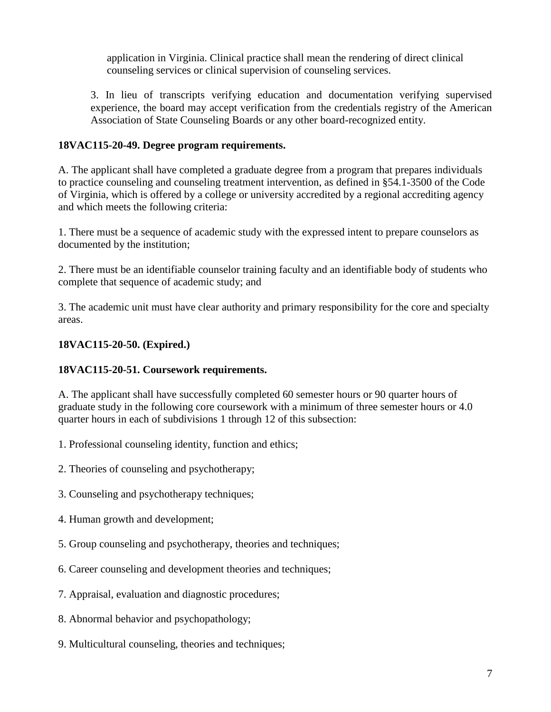application in Virginia. Clinical practice shall mean the rendering of direct clinical counseling services or clinical supervision of counseling services.

3. In lieu of transcripts verifying education and documentation verifying supervised experience, the board may accept verification from the credentials registry of the American Association of State Counseling Boards or any other board-recognized entity.

#### <span id="page-6-0"></span>**18VAC115-20-49. Degree program requirements.**

A. The applicant shall have completed a graduate degree from a program that prepares individuals to practice counseling and counseling treatment intervention, as defined in §54.1-3500 of the Code of Virginia, which is offered by a college or university accredited by a regional accrediting agency and which meets the following criteria:

1. There must be a sequence of academic study with the expressed intent to prepare counselors as documented by the institution;

2. There must be an identifiable counselor training faculty and an identifiable body of students who complete that sequence of academic study; and

3. The academic unit must have clear authority and primary responsibility for the core and specialty areas.

#### <span id="page-6-1"></span>**18VAC115-20-50. (Expired.)**

#### <span id="page-6-2"></span>**18VAC115-20-51. Coursework requirements.**

A. The applicant shall have successfully completed 60 semester hours or 90 quarter hours of graduate study in the following core coursework with a minimum of three semester hours or 4.0 quarter hours in each of subdivisions 1 through 12 of this subsection:

- 1. Professional counseling identity, function and ethics;
- 2. Theories of counseling and psychotherapy;
- 3. Counseling and psychotherapy techniques;
- 4. Human growth and development;
- 5. Group counseling and psychotherapy, theories and techniques;
- 6. Career counseling and development theories and techniques;
- 7. Appraisal, evaluation and diagnostic procedures;
- 8. Abnormal behavior and psychopathology;
- 9. Multicultural counseling, theories and techniques;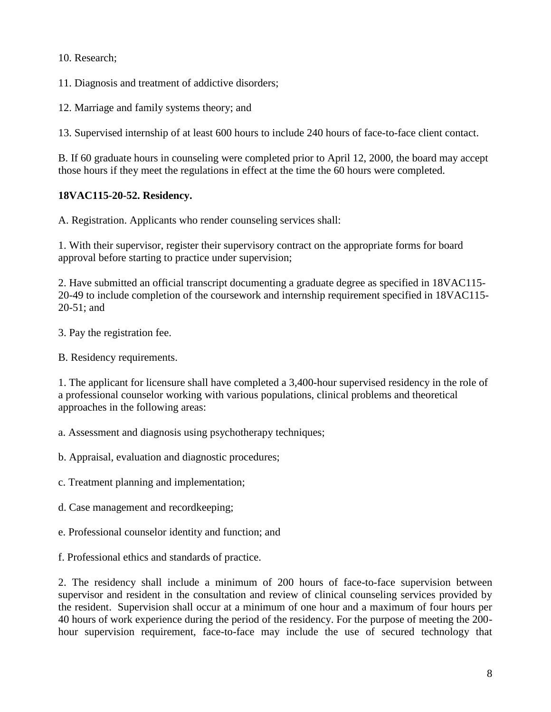10. Research;

11. Diagnosis and treatment of addictive disorders;

12. Marriage and family systems theory; and

13. Supervised internship of at least 600 hours to include 240 hours of face-to-face client contact.

B. If 60 graduate hours in counseling were completed prior to April 12, 2000, the board may accept those hours if they meet the regulations in effect at the time the 60 hours were completed.

#### <span id="page-7-0"></span>**18VAC115-20-52. Residency.**

A. Registration. Applicants who render counseling services shall:

1. With their supervisor, register their supervisory contract on the appropriate forms for board approval before starting to practice under supervision;

2. Have submitted an official transcript documenting a graduate degree as specified in 18VAC115- 20-49 to include completion of the coursework and internship requirement specified in 18VAC115- 20-51; and

- 3. Pay the registration fee.
- B. Residency requirements.

1. The applicant for licensure shall have completed a 3,400-hour supervised residency in the role of a professional counselor working with various populations, clinical problems and theoretical approaches in the following areas:

a. Assessment and diagnosis using psychotherapy techniques;

b. Appraisal, evaluation and diagnostic procedures;

c. Treatment planning and implementation;

d. Case management and recordkeeping;

e. Professional counselor identity and function; and

f. Professional ethics and standards of practice.

2. The residency shall include a minimum of 200 hours of face-to-face supervision between supervisor and resident in the consultation and review of clinical counseling services provided by the resident. Supervision shall occur at a minimum of one hour and a maximum of four hours per 40 hours of work experience during the period of the residency. For the purpose of meeting the 200 hour supervision requirement, face-to-face may include the use of secured technology that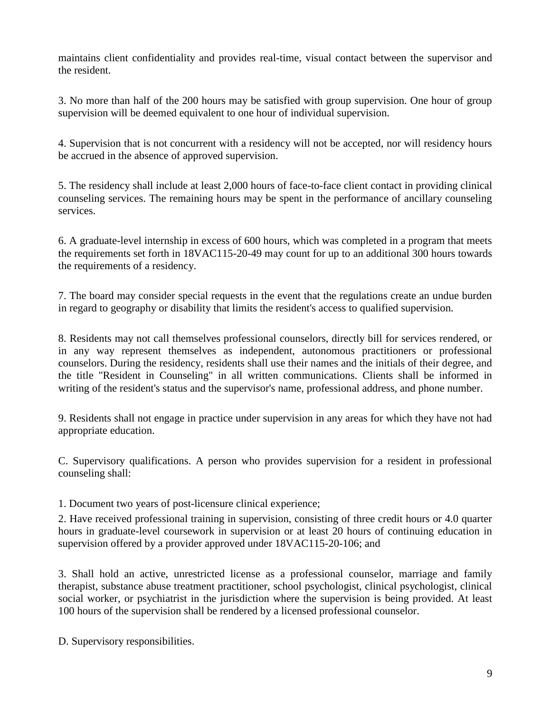maintains client confidentiality and provides real-time, visual contact between the supervisor and the resident.

3. No more than half of the 200 hours may be satisfied with group supervision. One hour of group supervision will be deemed equivalent to one hour of individual supervision.

4. Supervision that is not concurrent with a residency will not be accepted, nor will residency hours be accrued in the absence of approved supervision.

5. The residency shall include at least 2,000 hours of face-to-face client contact in providing clinical counseling services. The remaining hours may be spent in the performance of ancillary counseling services.

6. A graduate-level internship in excess of 600 hours, which was completed in a program that meets the requirements set forth in 18VAC115-20-49 may count for up to an additional 300 hours towards the requirements of a residency.

7. The board may consider special requests in the event that the regulations create an undue burden in regard to geography or disability that limits the resident's access to qualified supervision.

8. Residents may not call themselves professional counselors, directly bill for services rendered, or in any way represent themselves as independent, autonomous practitioners or professional counselors. During the residency, residents shall use their names and the initials of their degree, and the title "Resident in Counseling" in all written communications. Clients shall be informed in writing of the resident's status and the supervisor's name, professional address, and phone number.

9. Residents shall not engage in practice under supervision in any areas for which they have not had appropriate education.

C. Supervisory qualifications. A person who provides supervision for a resident in professional counseling shall:

1. Document two years of post-licensure clinical experience;

2. Have received professional training in supervision, consisting of three credit hours or 4.0 quarter hours in graduate-level coursework in supervision or at least 20 hours of continuing education in supervision offered by a provider approved under 18VAC115-20-106; and

3. Shall hold an active, unrestricted license as a professional counselor, marriage and family therapist, substance abuse treatment practitioner, school psychologist, clinical psychologist, clinical social worker, or psychiatrist in the jurisdiction where the supervision is being provided. At least 100 hours of the supervision shall be rendered by a licensed professional counselor.

D. Supervisory responsibilities.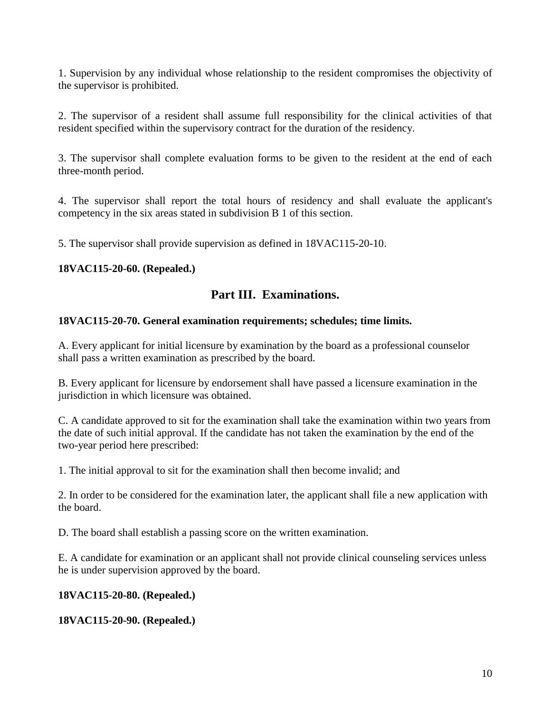1. Supervision by any individual whose relationship to the resident compromises the objectivity of the supervisor is prohibited.

2. The supervisor of a resident shall assume full responsibility for the clinical activities of that resident specified within the supervisory contract for the duration of the residency.

3. The supervisor shall complete evaluation forms to be given to the resident at the end of each three-month period.

4. The supervisor shall report the total hours of residency and shall evaluate the applicant's competency in the six areas stated in subdivision B 1 of this section.

5. The supervisor shall provide supervision as defined in 18VAC115-20-10.

#### <span id="page-9-1"></span><span id="page-9-0"></span>**18VAC115-20-60. (Repealed.)**

#### **Part III. Examinations.**

#### <span id="page-9-2"></span>**18VAC115-20-70. General examination requirements; schedules; time limits.**

A. Every applicant for initial licensure by examination by the board as a professional counselor shall pass a written examination as prescribed by the board.

B. Every applicant for licensure by endorsement shall have passed a licensure examination in the jurisdiction in which licensure was obtained.

C. A candidate approved to sit for the examination shall take the examination within two years from the date of such initial approval. If the candidate has not taken the examination by the end of the two-year period here prescribed:

1. The initial approval to sit for the examination shall then become invalid; and

2. In order to be considered for the examination later, the applicant shall file a new application with the board.

D. The board shall establish a passing score on the written examination.

E. A candidate for examination or an applicant shall not provide clinical counseling services unless he is under supervision approved by the board.

<span id="page-9-3"></span>**18VAC115-20-80. (Repealed.)**

<span id="page-9-4"></span>**18VAC115-20-90. (Repealed.)**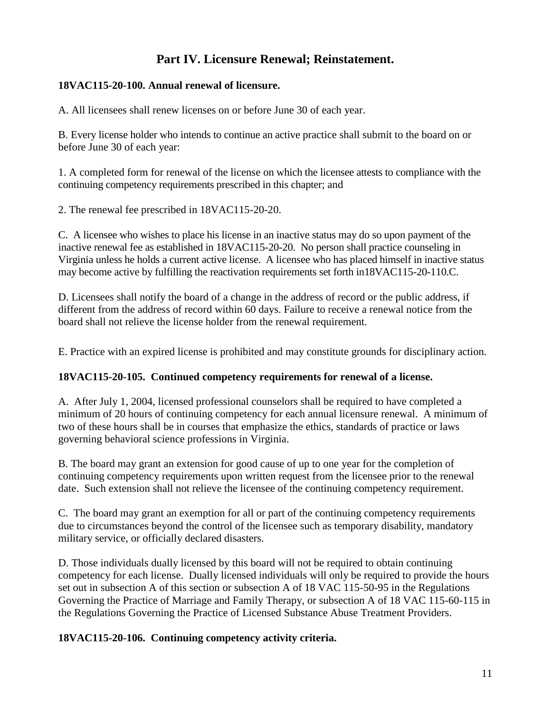#### **Part IV. Licensure Renewal; Reinstatement.**

#### <span id="page-10-1"></span><span id="page-10-0"></span>**18VAC115-20-100. Annual renewal of licensure.**

A. All licensees shall renew licenses on or before June 30 of each year.

B. Every license holder who intends to continue an active practice shall submit to the board on or before June 30 of each year:

1. A completed form for renewal of the license on which the licensee attests to compliance with the continuing competency requirements prescribed in this chapter; and

2. The renewal fee prescribed in 18VAC115-20-20.

C. A licensee who wishes to place his license in an inactive status may do so upon payment of the inactive renewal fee as established in 18VAC115-20-20. No person shall practice counseling in Virginia unless he holds a current active license. A licensee who has placed himself in inactive status may become active by fulfilling the reactivation requirements set forth in18VAC115-20-110.C.

D. Licensees shall notify the board of a change in the address of record or the public address, if different from the address of record within 60 days. Failure to receive a renewal notice from the board shall not relieve the license holder from the renewal requirement.

E. Practice with an expired license is prohibited and may constitute grounds for disciplinary action.

#### <span id="page-10-2"></span>**18VAC115-20-105. Continued competency requirements for renewal of a license.**

A. After July 1, 2004, licensed professional counselors shall be required to have completed a minimum of 20 hours of continuing competency for each annual licensure renewal. A minimum of two of these hours shall be in courses that emphasize the ethics, standards of practice or laws governing behavioral science professions in Virginia.

B. The board may grant an extension for good cause of up to one year for the completion of continuing competency requirements upon written request from the licensee prior to the renewal date. Such extension shall not relieve the licensee of the continuing competency requirement.

C. The board may grant an exemption for all or part of the continuing competency requirements due to circumstances beyond the control of the licensee such as temporary disability, mandatory military service, or officially declared disasters.

D. Those individuals dually licensed by this board will not be required to obtain continuing competency for each license. Dually licensed individuals will only be required to provide the hours set out in subsection A of this section or subsection A of 18 VAC 115-50-95 in the Regulations Governing the Practice of Marriage and Family Therapy, or subsection A of 18 VAC 115-60-115 in the Regulations Governing the Practice of Licensed Substance Abuse Treatment Providers.

#### <span id="page-10-3"></span>**18VAC115-20-106. Continuing competency activity criteria.**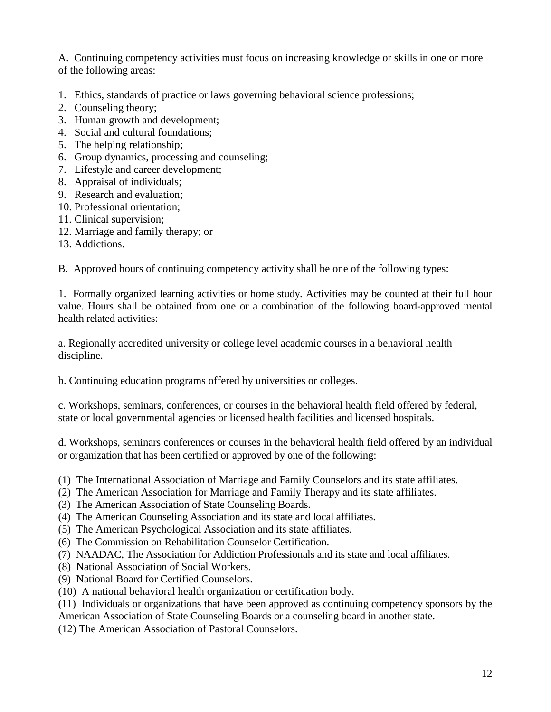A. Continuing competency activities must focus on increasing knowledge or skills in one or more of the following areas:

- 1. Ethics, standards of practice or laws governing behavioral science professions;
- 2. Counseling theory;
- 3. Human growth and development;
- 4. Social and cultural foundations;
- 5. The helping relationship;
- 6. Group dynamics, processing and counseling;
- 7. Lifestyle and career development;
- 8. Appraisal of individuals;
- 9. Research and evaluation;
- 10. Professional orientation;
- 11. Clinical supervision;
- 12. Marriage and family therapy; or
- 13. Addictions.

B. Approved hours of continuing competency activity shall be one of the following types:

1. Formally organized learning activities or home study. Activities may be counted at their full hour value. Hours shall be obtained from one or a combination of the following board-approved mental health related activities:

a. Regionally accredited university or college level academic courses in a behavioral health discipline.

b. Continuing education programs offered by universities or colleges.

c. Workshops, seminars, conferences, or courses in the behavioral health field offered by federal, state or local governmental agencies or licensed health facilities and licensed hospitals.

d. Workshops, seminars conferences or courses in the behavioral health field offered by an individual or organization that has been certified or approved by one of the following:

- (1) The International Association of Marriage and Family Counselors and its state affiliates.
- (2) The American Association for Marriage and Family Therapy and its state affiliates.
- (3) The American Association of State Counseling Boards.
- (4) The American Counseling Association and its state and local affiliates.
- (5) The American Psychological Association and its state affiliates.
- (6) The Commission on Rehabilitation Counselor Certification.
- (7) NAADAC, The Association for Addiction Professionals and its state and local affiliates.
- (8) National Association of Social Workers.
- (9) National Board for Certified Counselors.
- (10) A national behavioral health organization or certification body.

(11) Individuals or organizations that have been approved as continuing competency sponsors by the American Association of State Counseling Boards or a counseling board in another state.

(12) The American Association of Pastoral Counselors.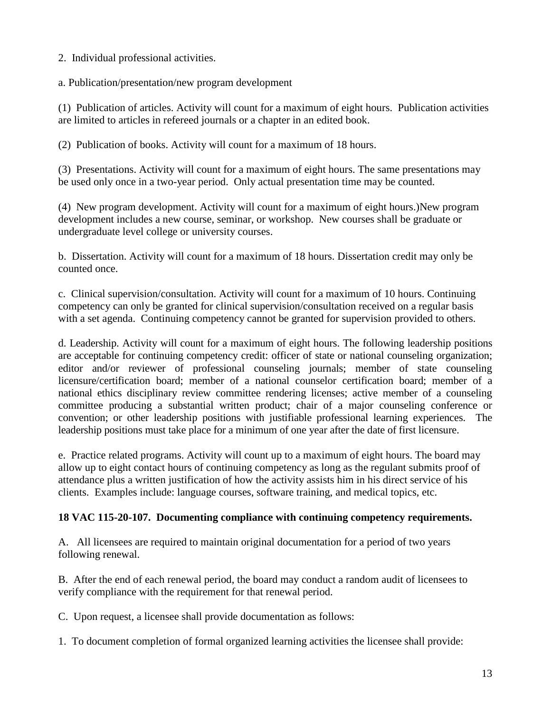2. Individual professional activities.

a. Publication/presentation/new program development

(1) Publication of articles. Activity will count for a maximum of eight hours. Publication activities are limited to articles in refereed journals or a chapter in an edited book.

(2) Publication of books. Activity will count for a maximum of 18 hours.

(3) Presentations. Activity will count for a maximum of eight hours. The same presentations may be used only once in a two-year period. Only actual presentation time may be counted.

(4) New program development. Activity will count for a maximum of eight hours.)New program development includes a new course, seminar, or workshop. New courses shall be graduate or undergraduate level college or university courses.

b. Dissertation. Activity will count for a maximum of 18 hours. Dissertation credit may only be counted once.

c. Clinical supervision/consultation. Activity will count for a maximum of 10 hours. Continuing competency can only be granted for clinical supervision/consultation received on a regular basis with a set agenda. Continuing competency cannot be granted for supervision provided to others.

d. Leadership. Activity will count for a maximum of eight hours. The following leadership positions are acceptable for continuing competency credit: officer of state or national counseling organization; editor and/or reviewer of professional counseling journals; member of state counseling licensure/certification board; member of a national counselor certification board; member of a national ethics disciplinary review committee rendering licenses; active member of a counseling committee producing a substantial written product; chair of a major counseling conference or convention; or other leadership positions with justifiable professional learning experiences. The leadership positions must take place for a minimum of one year after the date of first licensure.

e. Practice related programs. Activity will count up to a maximum of eight hours. The board may allow up to eight contact hours of continuing competency as long as the regulant submits proof of attendance plus a written justification of how the activity assists him in his direct service of his clients. Examples include: language courses, software training, and medical topics, etc.

#### <span id="page-12-0"></span>**18 VAC 115-20-107. Documenting compliance with continuing competency requirements.**

A. All licensees are required to maintain original documentation for a period of two years following renewal.

B. After the end of each renewal period, the board may conduct a random audit of licensees to verify compliance with the requirement for that renewal period.

C. Upon request, a licensee shall provide documentation as follows:

1. To document completion of formal organized learning activities the licensee shall provide: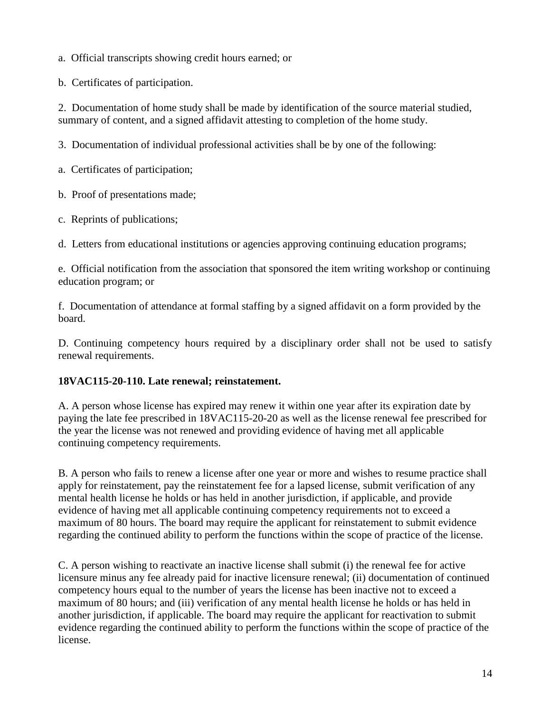a. Official transcripts showing credit hours earned; or

b. Certificates of participation.

2. Documentation of home study shall be made by identification of the source material studied, summary of content, and a signed affidavit attesting to completion of the home study.

3. Documentation of individual professional activities shall be by one of the following:

a. Certificates of participation;

b. Proof of presentations made;

c. Reprints of publications;

d. Letters from educational institutions or agencies approving continuing education programs;

e. Official notification from the association that sponsored the item writing workshop or continuing education program; or

f. Documentation of attendance at formal staffing by a signed affidavit on a form provided by the board.

D. Continuing competency hours required by a disciplinary order shall not be used to satisfy renewal requirements.

#### <span id="page-13-0"></span>**18VAC115-20-110. Late renewal; reinstatement.**

A. A person whose license has expired may renew it within one year after its expiration date by paying the late fee prescribed in 18VAC115-20-20 as well as the license renewal fee prescribed for the year the license was not renewed and providing evidence of having met all applicable continuing competency requirements.

B. A person who fails to renew a license after one year or more and wishes to resume practice shall apply for reinstatement, pay the reinstatement fee for a lapsed license, submit verification of any mental health license he holds or has held in another jurisdiction, if applicable, and provide evidence of having met all applicable continuing competency requirements not to exceed a maximum of 80 hours. The board may require the applicant for reinstatement to submit evidence regarding the continued ability to perform the functions within the scope of practice of the license.

C. A person wishing to reactivate an inactive license shall submit (i) the renewal fee for active licensure minus any fee already paid for inactive licensure renewal; (ii) documentation of continued competency hours equal to the number of years the license has been inactive not to exceed a maximum of 80 hours; and (iii) verification of any mental health license he holds or has held in another jurisdiction, if applicable. The board may require the applicant for reactivation to submit evidence regarding the continued ability to perform the functions within the scope of practice of the license.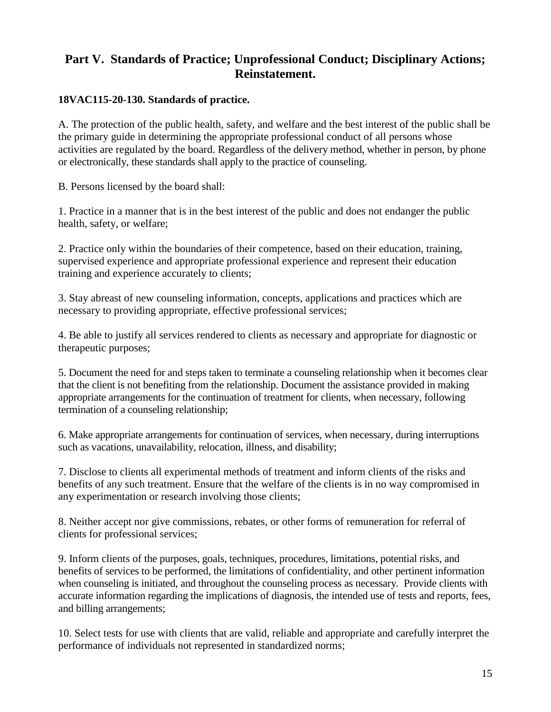#### <span id="page-14-0"></span>**Part V. Standards of Practice; Unprofessional Conduct; Disciplinary Actions; Reinstatement.**

#### <span id="page-14-1"></span>**18VAC115-20-130. Standards of practice.**

A. The protection of the public health, safety, and welfare and the best interest of the public shall be the primary guide in determining the appropriate professional conduct of all persons whose activities are regulated by the board. Regardless of the delivery method, whether in person, by phone or electronically, these standards shall apply to the practice of counseling.

B. Persons licensed by the board shall:

1. Practice in a manner that is in the best interest of the public and does not endanger the public health, safety, or welfare;

2. Practice only within the boundaries of their competence, based on their education, training, supervised experience and appropriate professional experience and represent their education training and experience accurately to clients;

3. Stay abreast of new counseling information, concepts, applications and practices which are necessary to providing appropriate, effective professional services;

4. Be able to justify all services rendered to clients as necessary and appropriate for diagnostic or therapeutic purposes;

5. Document the need for and steps taken to terminate a counseling relationship when it becomes clear that the client is not benefiting from the relationship. Document the assistance provided in making appropriate arrangements for the continuation of treatment for clients, when necessary, following termination of a counseling relationship;

6. Make appropriate arrangements for continuation of services, when necessary, during interruptions such as vacations, unavailability, relocation, illness, and disability;

7. Disclose to clients all experimental methods of treatment and inform clients of the risks and benefits of any such treatment. Ensure that the welfare of the clients is in no way compromised in any experimentation or research involving those clients;

8. Neither accept nor give commissions, rebates, or other forms of remuneration for referral of clients for professional services;

9. Inform clients of the purposes, goals, techniques, procedures, limitations, potential risks, and benefits of services to be performed, the limitations of confidentiality, and other pertinent information when counseling is initiated, and throughout the counseling process as necessary. Provide clients with accurate information regarding the implications of diagnosis, the intended use of tests and reports, fees, and billing arrangements;

10. Select tests for use with clients that are valid, reliable and appropriate and carefully interpret the performance of individuals not represented in standardized norms;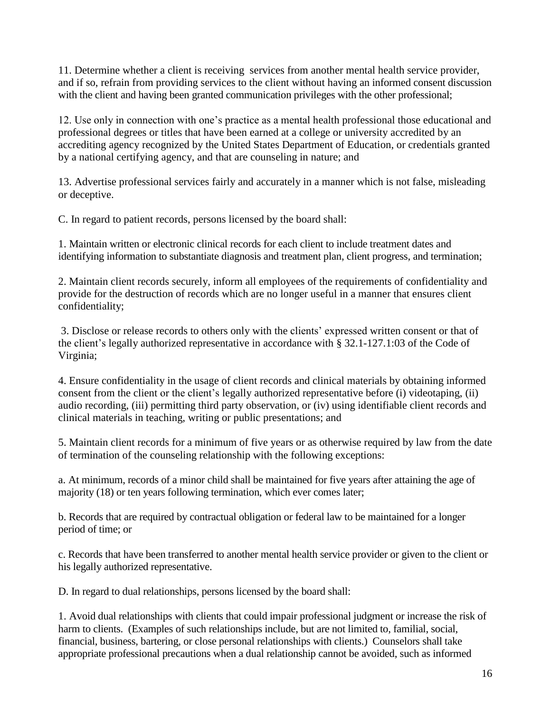11. Determine whether a client is receiving services from another mental health service provider, and if so, refrain from providing services to the client without having an informed consent discussion with the client and having been granted communication privileges with the other professional;

12. Use only in connection with one's practice as a mental health professional those educational and professional degrees or titles that have been earned at a college or university accredited by an accrediting agency recognized by the United States Department of Education, or credentials granted by a national certifying agency, and that are counseling in nature; and

13. Advertise professional services fairly and accurately in a manner which is not false, misleading or deceptive.

C. In regard to patient records, persons licensed by the board shall:

1. Maintain written or electronic clinical records for each client to include treatment dates and identifying information to substantiate diagnosis and treatment plan, client progress, and termination;

2. Maintain client records securely, inform all employees of the requirements of confidentiality and provide for the destruction of records which are no longer useful in a manner that ensures client confidentiality;

3. Disclose or release records to others only with the clients' expressed written consent or that of the client's legally authorized representative in accordance with § 32.1-127.1:03 of the Code of Virginia;

4. Ensure confidentiality in the usage of client records and clinical materials by obtaining informed consent from the client or the client's legally authorized representative before (i) videotaping, (ii) audio recording, (iii) permitting third party observation, or (iv) using identifiable client records and clinical materials in teaching, writing or public presentations; and

5. Maintain client records for a minimum of five years or as otherwise required by law from the date of termination of the counseling relationship with the following exceptions:

a. At minimum, records of a minor child shall be maintained for five years after attaining the age of majority (18) or ten years following termination, which ever comes later;

b. Records that are required by contractual obligation or federal law to be maintained for a longer period of time; or

c. Records that have been transferred to another mental health service provider or given to the client or his legally authorized representative.

D. In regard to dual relationships, persons licensed by the board shall:

1. Avoid dual relationships with clients that could impair professional judgment or increase the risk of harm to clients. (Examples of such relationships include, but are not limited to, familial, social, financial, business, bartering, or close personal relationships with clients.) Counselors shall take appropriate professional precautions when a dual relationship cannot be avoided, such as informed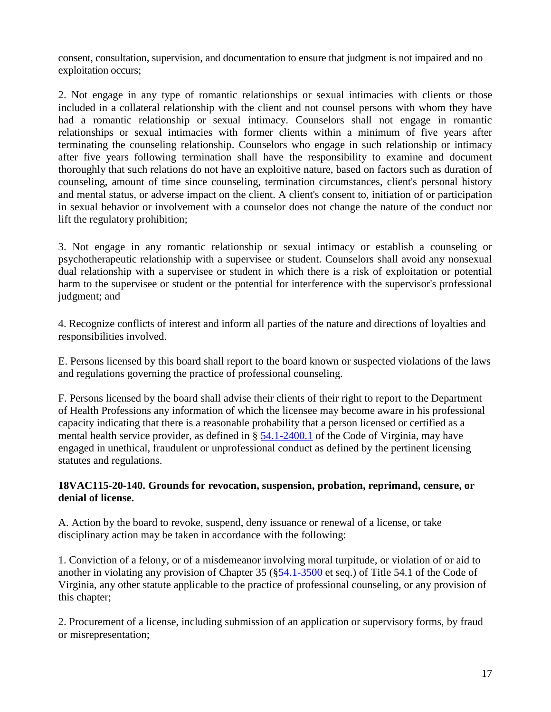consent, consultation, supervision, and documentation to ensure that judgment is not impaired and no exploitation occurs;

2. Not engage in any type of romantic relationships or sexual intimacies with clients or those included in a collateral relationship with the client and not counsel persons with whom they have had a romantic relationship or sexual intimacy. Counselors shall not engage in romantic relationships or sexual intimacies with former clients within a minimum of five years after terminating the counseling relationship. Counselors who engage in such relationship or intimacy after five years following termination shall have the responsibility to examine and document thoroughly that such relations do not have an exploitive nature, based on factors such as duration of counseling, amount of time since counseling, termination circumstances, client's personal history and mental status, or adverse impact on the client. A client's consent to, initiation of or participation in sexual behavior or involvement with a counselor does not change the nature of the conduct nor lift the regulatory prohibition;

3. Not engage in any romantic relationship or sexual intimacy or establish a counseling or psychotherapeutic relationship with a supervisee or student. Counselors shall avoid any nonsexual dual relationship with a supervisee or student in which there is a risk of exploitation or potential harm to the supervisee or student or the potential for interference with the supervisor's professional judgment; and

4. Recognize conflicts of interest and inform all parties of the nature and directions of loyalties and responsibilities involved.

E. Persons licensed by this board shall report to the board known or suspected violations of the laws and regulations governing the practice of professional counseling.

F. Persons licensed by the board shall advise their clients of their right to report to the Department of Health Professions any information of which the licensee may become aware in his professional capacity indicating that there is a reasonable probability that a person licensed or certified as a mental health service provider, as defined in § [54.1-2400.1](http://leg1.state.va.us/cgi-bin/legp504.exe?000+cod+54.1-2400.1) of the Code of Virginia, may have engaged in unethical, fraudulent or unprofessional conduct as defined by the pertinent licensing statutes and regulations.

#### <span id="page-16-0"></span>**18VAC115-20-140. Grounds for revocation, suspension, probation, reprimand, censure, or denial of license.**

A. Action by the board to revoke, suspend, deny issuance or renewal of a license, or take disciplinary action may be taken in accordance with the following:

1. Conviction of a felony, or of a misdemeanor involving moral turpitude, or violation of or aid to another in violating any provision of Chapter 35 ([§54.1-3500](http://leg1.state.va.us/cgi-bin/legp504.exe?000+cod+54.1-3500) et seq.) of Title 54.1 of the Code of Virginia, any other statute applicable to the practice of professional counseling, or any provision of this chapter;

2. Procurement of a license, including submission of an application or supervisory forms, by fraud or misrepresentation;